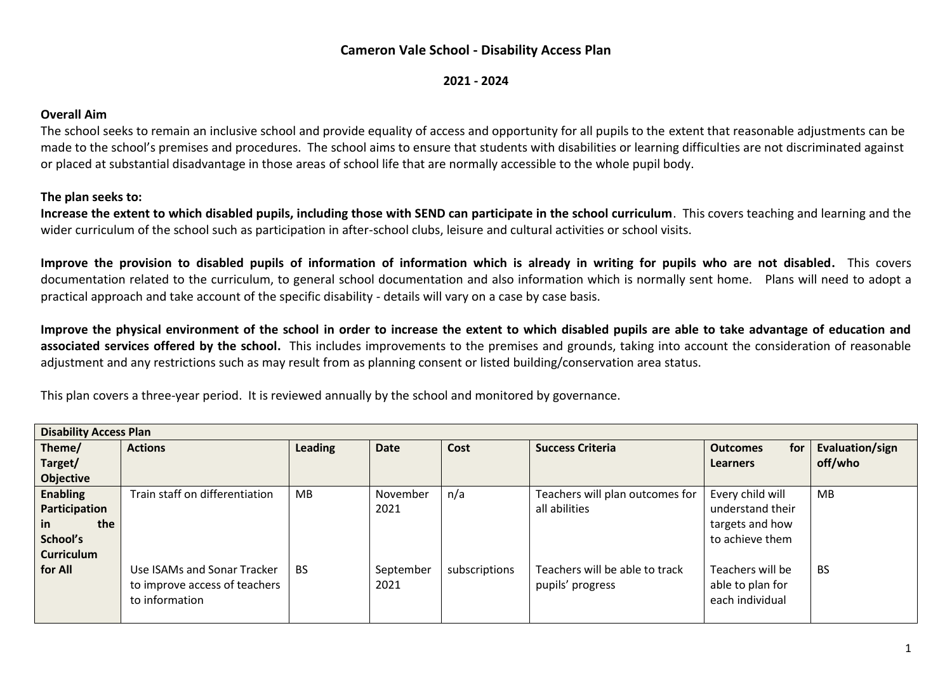## **Cameron Vale School - Disability Access Plan**

**2021 - 2024**

## **Overall Aim**

The school seeks to remain an inclusive school and provide equality of access and opportunity for all pupils to the extent that reasonable adjustments can be made to the school's premises and procedures. The school aims to ensure that students with disabilities or learning difficulties are not discriminated against or placed at substantial disadvantage in those areas of school life that are normally accessible to the whole pupil body.

## **The plan seeks to:**

**Increase the extent to which disabled pupils, including those with SEND can participate in the school curriculum**. This covers teaching and learning and the wider curriculum of the school such as participation in after-school clubs, leisure and cultural activities or school visits.

**Improve the provision to disabled pupils of information of information which is already in writing for pupils who are not disabled.** This covers documentation related to the curriculum, to general school documentation and also information which is normally sent home. Plans will need to adopt a practical approach and take account of the specific disability - details will vary on a case by case basis.

**Improve the physical environment of the school in order to increase the extent to which disabled pupils are able to take advantage of education and associated services offered by the school.** This includes improvements to the premises and grounds, taking into account the consideration of reasonable adjustment and any restrictions such as may result from as planning consent or listed building/conservation area status.

This plan covers a three-year period. It is reviewed annually by the school and monitored by governance.

| <b>Disability Access Plan</b> |                                |           |             |               |                                 |                        |                 |  |
|-------------------------------|--------------------------------|-----------|-------------|---------------|---------------------------------|------------------------|-----------------|--|
| Theme/                        | <b>Actions</b>                 | Leading   | <b>Date</b> | Cost          | <b>Success Criteria</b>         | for<br><b>Outcomes</b> | Evaluation/sign |  |
| Target/                       |                                |           |             |               |                                 | <b>Learners</b>        | off/who         |  |
| <b>Objective</b>              |                                |           |             |               |                                 |                        |                 |  |
| <b>Enabling</b>               | Train staff on differentiation | MB        | November    | n/a           | Teachers will plan outcomes for | Every child will       | <b>MB</b>       |  |
| Participation                 |                                |           | 2021        |               | all abilities                   | understand their       |                 |  |
| the<br><i>in</i>              |                                |           |             |               |                                 | targets and how        |                 |  |
| School's                      |                                |           |             |               |                                 | to achieve them        |                 |  |
| <b>Curriculum</b>             |                                |           |             |               |                                 |                        |                 |  |
| for All                       | Use ISAMs and Sonar Tracker    | <b>BS</b> | September   | subscriptions | Teachers will be able to track  | Teachers will be       | <b>BS</b>       |  |
|                               | to improve access of teachers  |           | 2021        |               | pupils' progress                | able to plan for       |                 |  |
|                               | to information                 |           |             |               |                                 | each individual        |                 |  |
|                               |                                |           |             |               |                                 |                        |                 |  |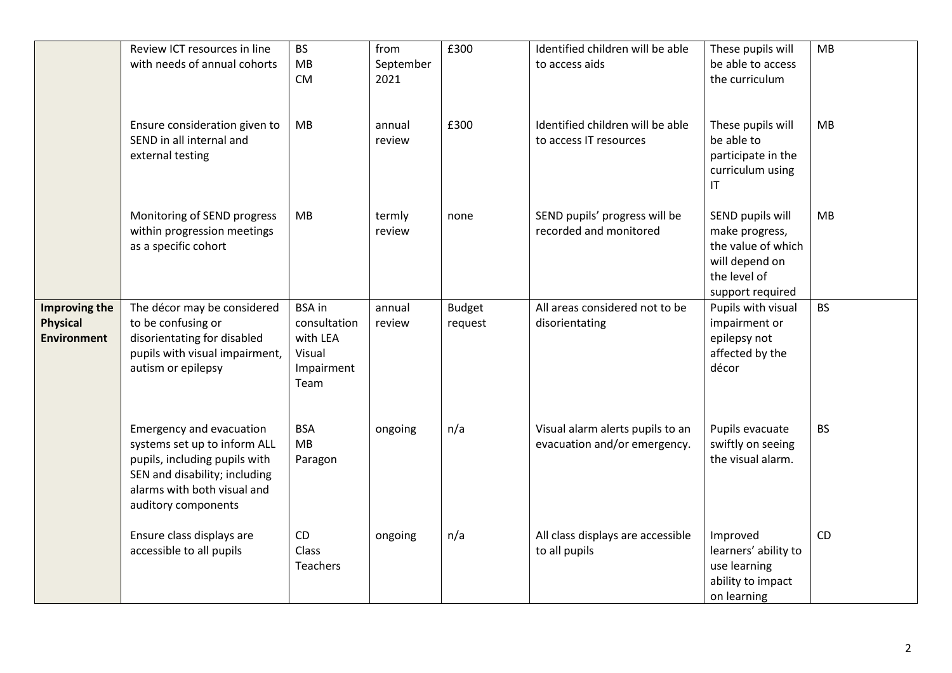|                                                        | Review ICT resources in line<br>with needs of annual cohorts                                                                                                                     | <b>BS</b><br>MB<br><b>CM</b>                                              | from<br>September<br>2021 | £300                     | Identified children will be able<br>to access aids               | These pupils will<br>be able to access<br>the curriculum                                                       | MB        |
|--------------------------------------------------------|----------------------------------------------------------------------------------------------------------------------------------------------------------------------------------|---------------------------------------------------------------------------|---------------------------|--------------------------|------------------------------------------------------------------|----------------------------------------------------------------------------------------------------------------|-----------|
|                                                        | Ensure consideration given to<br>SEND in all internal and<br>external testing                                                                                                    | MB                                                                        | annual<br>review          | £300                     | Identified children will be able<br>to access IT resources       | These pupils will<br>be able to<br>participate in the<br>curriculum using<br>$\mathsf{I}\mathsf{T}$            | MB        |
|                                                        | Monitoring of SEND progress<br>within progression meetings<br>as a specific cohort                                                                                               | <b>MB</b>                                                                 | termly<br>review          | none                     | SEND pupils' progress will be<br>recorded and monitored          | SEND pupils will<br>make progress,<br>the value of which<br>will depend on<br>the level of<br>support required | <b>MB</b> |
| Improving the<br><b>Physical</b><br><b>Environment</b> | The décor may be considered<br>to be confusing or<br>disorientating for disabled<br>pupils with visual impairment,<br>autism or epilepsy                                         | <b>BSA</b> in<br>consultation<br>with LEA<br>Visual<br>Impairment<br>Team | annual<br>review          | <b>Budget</b><br>request | All areas considered not to be<br>disorientating                 | Pupils with visual<br>impairment or<br>epilepsy not<br>affected by the<br>décor                                | <b>BS</b> |
|                                                        | Emergency and evacuation<br>systems set up to inform ALL<br>pupils, including pupils with<br>SEN and disability; including<br>alarms with both visual and<br>auditory components | <b>BSA</b><br>MB<br>Paragon                                               | ongoing                   | n/a                      | Visual alarm alerts pupils to an<br>evacuation and/or emergency. | Pupils evacuate<br>swiftly on seeing<br>the visual alarm.                                                      | <b>BS</b> |
|                                                        | Ensure class displays are<br>accessible to all pupils                                                                                                                            | CD<br><b>Class</b><br><b>Teachers</b>                                     | ongoing                   | n/a                      | All class displays are accessible<br>to all pupils               | Improved<br>learners' ability to<br>use learning<br>ability to impact<br>on learning                           | <b>CD</b> |